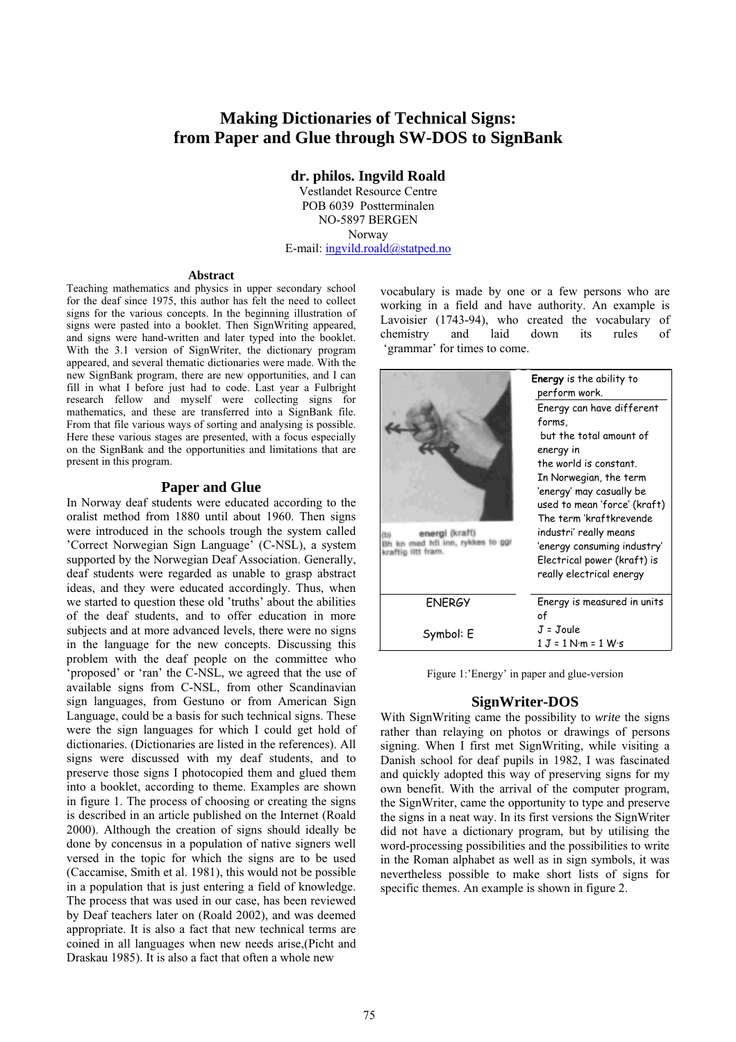# **Making Dictionaries of Technical Signs: from Paper and Glue through SW-DOS to SignBank**

**dr. philos. Ingvild Roald** 

Vestlandet Resource Centre POB 6039 Postterminalen NO-5897 BERGEN Norway E-mail: ingvild.roald@statped.no

#### **Abstract**

Teaching mathematics and physics in upper secondary school for the deaf since 1975, this author has felt the need to collect signs for the various concepts. In the beginning illustration of signs were pasted into a booklet. Then SignWriting appeared, and signs were hand-written and later typed into the booklet. With the 3.1 version of SignWriter, the dictionary program appeared, and several thematic dictionaries were made. With the new SignBank program, there are new opportunities, and I can fill in what I before just had to code. Last year a Fulbright research fellow and myself were collecting signs for mathematics, and these are transferred into a SignBank file. From that file various ways of sorting and analysing is possible. Here these various stages are presented, with a focus especially on the SignBank and the opportunities and limitations that are present in this program.

# **Paper and Glue**

In Norway deaf students were educated according to the oralist method from 1880 until about 1960. Then signs were introduced in the schools trough the system called 'Correct Norwegian Sign Language' (C-NSL), a system supported by the Norwegian Deaf Association. Generally, deaf students were regarded as unable to grasp abstract ideas, and they were educated accordingly. Thus, when we started to question these old 'truths' about the abilities of the deaf students, and to offer education in more subjects and at more advanced levels, there were no signs in the language for the new concepts. Discussing this problem with the deaf people on the committee who 'proposed' or 'ran' the C-NSL, we agreed that the use of available signs from C-NSL, from other Scandinavian sign languages, from Gestuno or from American Sign Language, could be a basis for such technical signs. These were the sign languages for which I could get hold of dictionaries. (Dictionaries are listed in the references). All signs were discussed with my deaf students, and to preserve those signs I photocopied them and glued them into a booklet, according to theme. Examples are shown in figure 1. The process of choosing or creating the signs is described in an article published on the Internet (Roald 2000). Although the creation of signs should ideally be done by concensus in a population of native signers well versed in the topic for which the signs are to be used (Caccamise, Smith et al. 1981), this would not be possible in a population that is just entering a field of knowledge. The process that was used in our case, has been reviewed by Deaf teachers later on (Roald 2002), and was deemed appropriate. It is also a fact that new technical terms are coined in all languages when new needs arise,(Picht and Draskau 1985). It is also a fact that often a whole new

vocabulary is made by one or a few persons who are working in a field and have authority. An example is Lavoisier (1743-94), who created the vocabulary of chemistry and laid down its rules of 'grammar' for times to come.

| (kraft)<br>1 hfl inn, rykkes to go<br>fram.<br>rtio litt | <b>Energy</b> is the ability to<br>perform work.<br>Energy can have different<br>forms,<br>but the total amount of<br>energy in<br>the world is constant.<br>In Norwegian, the term<br>'energy' may casually be<br>used to mean 'force' (kraft)<br>The term 'kraftkrevende<br>industri' really means<br>'energy consuming industry'<br>Electrical power (kraft) is<br>really electrical energy |
|----------------------------------------------------------|------------------------------------------------------------------------------------------------------------------------------------------------------------------------------------------------------------------------------------------------------------------------------------------------------------------------------------------------------------------------------------------------|
| <b>ENERGY</b>                                            | Energy is measured in units                                                                                                                                                                                                                                                                                                                                                                    |
| Symbol: E                                                | of<br>J = Joule<br>$1 J = 1 N·m = 1 W·s$                                                                                                                                                                                                                                                                                                                                                       |

Figure 1:'Energy' in paper and glue-version

# **SignWriter-DOS**

With SignWriting came the possibility to *write* the signs rather than relaying on photos or drawings of persons signing. When I first met SignWriting, while visiting a Danish school for deaf pupils in 1982, I was fascinated and quickly adopted this way of preserving signs for my own benefit. With the arrival of the computer program, the SignWriter, came the opportunity to type and preserve the signs in a neat way. In its first versions the SignWriter did not have a dictionary program, but by utilising the word-processing possibilities and the possibilities to write in the Roman alphabet as well as in sign symbols, it was nevertheless possible to make short lists of signs for specific themes. An example is shown in figure 2.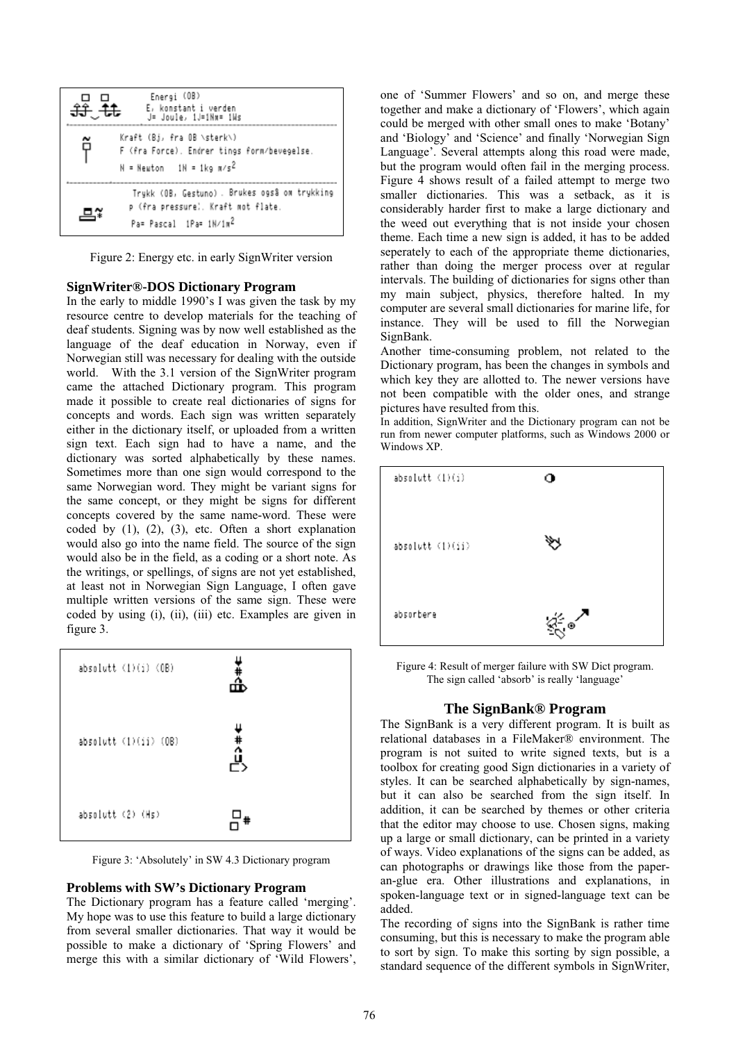| ₩₩  | Energi (OB)<br>E, konstant i verden<br>J= Joule, 1J=1Nm= 1Ws                                                             |
|-----|--------------------------------------------------------------------------------------------------------------------------|
|     | Kraft (Bj, fra OB \sterk\)<br>F (fra Force). Endrer tings form/bevegelse.<br>$N = Newton$ 1N = 1kg $m/s^2$               |
| ≆ִ⊏ | Trykk (OB, Gestuno). Brukes også om trykking<br>p (fra pressure). Kraft mot flate.<br>Pa= Pascal 1Pa= 1N/1m <sup>2</sup> |

Figure 2: Energy etc. in early SignWriter version

#### **SignWriter®-DOS Dictionary Program**

In the early to middle 1990's I was given the task by my resource centre to develop materials for the teaching of deaf students. Signing was by now well established as the language of the deaf education in Norway, even if Norwegian still was necessary for dealing with the outside world. With the 3.1 version of the SignWriter program came the attached Dictionary program. This program made it possible to create real dictionaries of signs for concepts and words. Each sign was written separately either in the dictionary itself, or uploaded from a written sign text. Each sign had to have a name, and the dictionary was sorted alphabetically by these names. Sometimes more than one sign would correspond to the same Norwegian word. They might be variant signs for the same concept, or they might be signs for different concepts covered by the same name-word. These were coded by (1), (2), (3), etc. Often a short explanation would also go into the name field. The source of the sign would also be in the field, as a coding or a short note. As the writings, or spellings, of signs are not yet established, at least not in Norwegian Sign Language, I often gave multiple written versions of the same sign. These were coded by using (i), (ii), (iii) etc. Examples are given in figure 3.



Figure 3: 'Absolutely' in SW 4.3 Dictionary program

# **Problems with SW's Dictionary Program**

The Dictionary program has a feature called 'merging'. My hope was to use this feature to build a large dictionary from several smaller dictionaries. That way it would be possible to make a dictionary of 'Spring Flowers' and merge this with a similar dictionary of 'Wild Flowers',

one of 'Summer Flowers' and so on, and merge these together and make a dictionary of 'Flowers', which again could be merged with other small ones to make 'Botany' and 'Biology' and 'Science' and finally 'Norwegian Sign Language'. Several attempts along this road were made, but the program would often fail in the merging process. Figure 4 shows result of a failed attempt to merge two smaller dictionaries. This was a setback, as it is considerably harder first to make a large dictionary and the weed out everything that is not inside your chosen theme. Each time a new sign is added, it has to be added seperately to each of the appropriate theme dictionaries, rather than doing the merger process over at regular intervals. The building of dictionaries for signs other than my main subject, physics, therefore halted. In my computer are several small dictionaries for marine life, for instance. They will be used to fill the Norwegian SignBank.

Another time-consuming problem, not related to the Dictionary program, has been the changes in symbols and which key they are allotted to. The newer versions have not been compatible with the older ones, and strange pictures have resulted from this.

In addition, SignWriter and the Dictionary program can not be run from newer computer platforms, such as Windows 2000 or Windows XP.



Figure 4: Result of merger failure with SW Dict program. The sign called 'absorb' is really 'language'

### **The SignBank® Program**

The SignBank is a very different program. It is built as relational databases in a FileMaker® environment. The program is not suited to write signed texts, but is a toolbox for creating good Sign dictionaries in a variety of styles. It can be searched alphabetically by sign-names, but it can also be searched from the sign itself. In addition, it can be searched by themes or other criteria that the editor may choose to use. Chosen signs, making up a large or small dictionary, can be printed in a variety of ways. Video explanations of the signs can be added, as can photographs or drawings like those from the paperan-glue era. Other illustrations and explanations, in spoken-language text or in signed-language text can be added.

The recording of signs into the SignBank is rather time consuming, but this is necessary to make the program able to sort by sign. To make this sorting by sign possible, a standard sequence of the different symbols in SignWriter,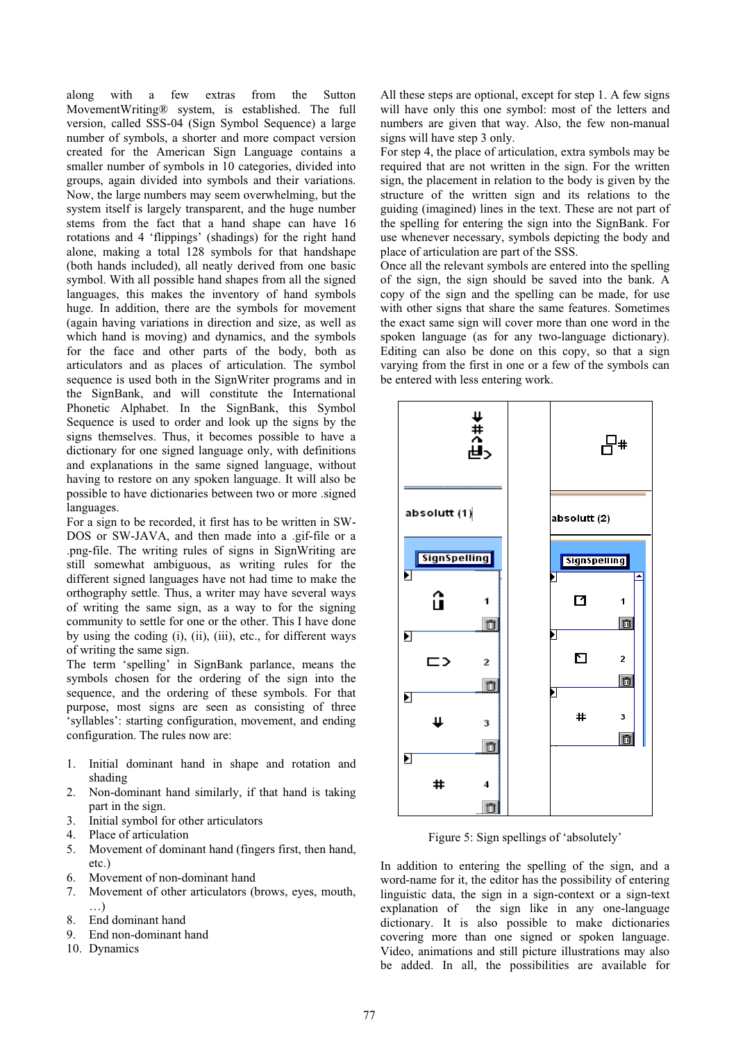along with a few extras from the Sutton MovementWriting® system, is established. The full version, called SSS-04 (Sign Symbol Sequence) a large number of symbols, a shorter and more compact version created for the American Sign Language contains a smaller number of symbols in 10 categories, divided into groups, again divided into symbols and their variations. Now, the large numbers may seem overwhelming, but the system itself is largely transparent, and the huge number stems from the fact that a hand shape can have 16 rotations and 4 'flippings' (shadings) for the right hand alone, making a total 128 symbols for that handshape (both hands included), all neatly derived from one basic symbol. With all possible hand shapes from all the signed languages, this makes the inventory of hand symbols huge. In addition, there are the symbols for movement (again having variations in direction and size, as well as which hand is moving) and dynamics, and the symbols for the face and other parts of the body, both as articulators and as places of articulation. The symbol sequence is used both in the SignWriter programs and in the SignBank, and will constitute the International Phonetic Alphabet. In the SignBank, this Symbol Sequence is used to order and look up the signs by the signs themselves. Thus, it becomes possible to have a dictionary for one signed language only, with definitions and explanations in the same signed language, without having to restore on any spoken language. It will also be possible to have dictionaries between two or more .signed languages.

For a sign to be recorded, it first has to be written in SW-DOS or SW-JAVA, and then made into a .gif-file or a .png-file. The writing rules of signs in SignWriting are still somewhat ambiguous, as writing rules for the different signed languages have not had time to make the orthography settle. Thus, a writer may have several ways of writing the same sign, as a way to for the signing community to settle for one or the other. This I have done by using the coding (i), (ii), (iii), etc., for different ways of writing the same sign.

The term 'spelling' in SignBank parlance, means the symbols chosen for the ordering of the sign into the sequence, and the ordering of these symbols. For that purpose, most signs are seen as consisting of three 'syllables': starting configuration, movement, and ending configuration. The rules now are:

- 1. Initial dominant hand in shape and rotation and shading
- 2. Non-dominant hand similarly, if that hand is taking part in the sign.
- 3. Initial symbol for other articulators
- 4. Place of articulation
- 5. Movement of dominant hand (fingers first, then hand, etc.)
- 6. Movement of non-dominant hand
- 7. Movement of other articulators (brows, eyes, mouth,  $\rightarrow$
- 8. End dominant hand
- 9. End non-dominant hand
- 10. Dynamics

All these steps are optional, except for step 1. A few signs will have only this one symbol: most of the letters and numbers are given that way. Also, the few non-manual signs will have step 3 only.

For step 4, the place of articulation, extra symbols may be required that are not written in the sign. For the written sign, the placement in relation to the body is given by the structure of the written sign and its relations to the guiding (imagined) lines in the text. These are not part of the spelling for entering the sign into the SignBank. For use whenever necessary, symbols depicting the body and place of articulation are part of the SSS.

Once all the relevant symbols are entered into the spelling of the sign, the sign should be saved into the bank. A copy of the sign and the spelling can be made, for use with other signs that share the same features. Sometimes the exact same sign will cover more than one word in the spoken language (as for any two-language dictionary). Editing can also be done on this copy, so that a sign varying from the first in one or a few of the symbols can be entered with less entering work.



Figure 5: Sign spellings of 'absolutely'

In addition to entering the spelling of the sign, and a word-name for it, the editor has the possibility of entering linguistic data, the sign in a sign-context or a sign-text explanation of the sign like in any one-language dictionary. It is also possible to make dictionaries covering more than one signed or spoken language. Video, animations and still picture illustrations may also be added. In all, the possibilities are available for